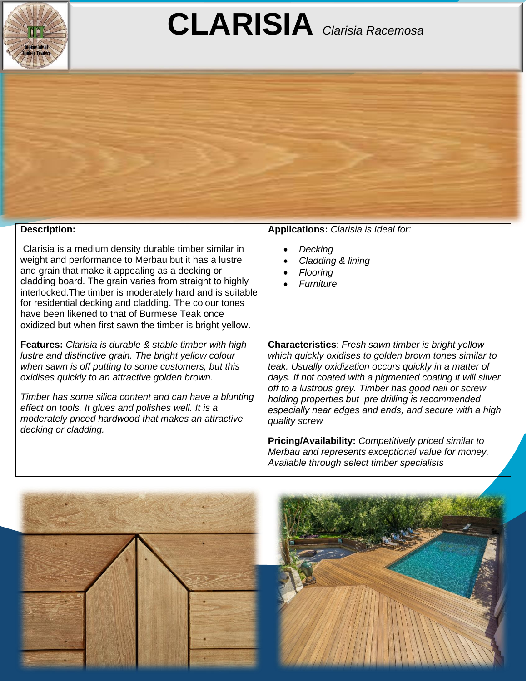

## **CLARISIA** *Clarisia Racemosa*



| Clarisia is a medium density durable timber similar in<br>weight and performance to Merbau but it has a lustre<br>and grain that make it appealing as a decking or<br>cladding board. The grain varies from straight to highly<br>interlocked. The timber is moderately hard and is suitable<br>for residential decking and cladding. The colour tones<br>have been likened to that of Burmese Teak once<br>oxidized but when first sawn the timber is bright yellow. | Decking<br>Cladding & lining<br>Flooring<br>Furniture                                                                                                                                                                                                                                                                                                                                                                                                                                                                                                                                                          |
|-----------------------------------------------------------------------------------------------------------------------------------------------------------------------------------------------------------------------------------------------------------------------------------------------------------------------------------------------------------------------------------------------------------------------------------------------------------------------|----------------------------------------------------------------------------------------------------------------------------------------------------------------------------------------------------------------------------------------------------------------------------------------------------------------------------------------------------------------------------------------------------------------------------------------------------------------------------------------------------------------------------------------------------------------------------------------------------------------|
| <b>Features:</b> Clarisia is durable & stable timber with high<br>lustre and distinctive grain. The bright yellow colour<br>when sawn is off putting to some customers, but this<br>oxidises quickly to an attractive golden brown.<br>Timber has some silica content and can have a blunting<br>effect on tools. It glues and polishes well. It is a<br>moderately priced hardwood that makes an attractive<br>decking or cladding.                                  | <b>Characteristics:</b> Fresh sawn timber is bright yellow<br>which quickly oxidises to golden brown tones similar to<br>teak. Usually oxidization occurs quickly in a matter of<br>days. If not coated with a pigmented coating it will silver<br>off to a lustrous grey. Timber has good nail or screw<br>holding properties but pre drilling is recommended<br>especially near edges and ends, and secure with a high<br>quality screw<br><b>Pricing/Availability: Competitively priced similar to</b><br>Merbau and represents exceptional value for money.<br>Available through select timber specialists |